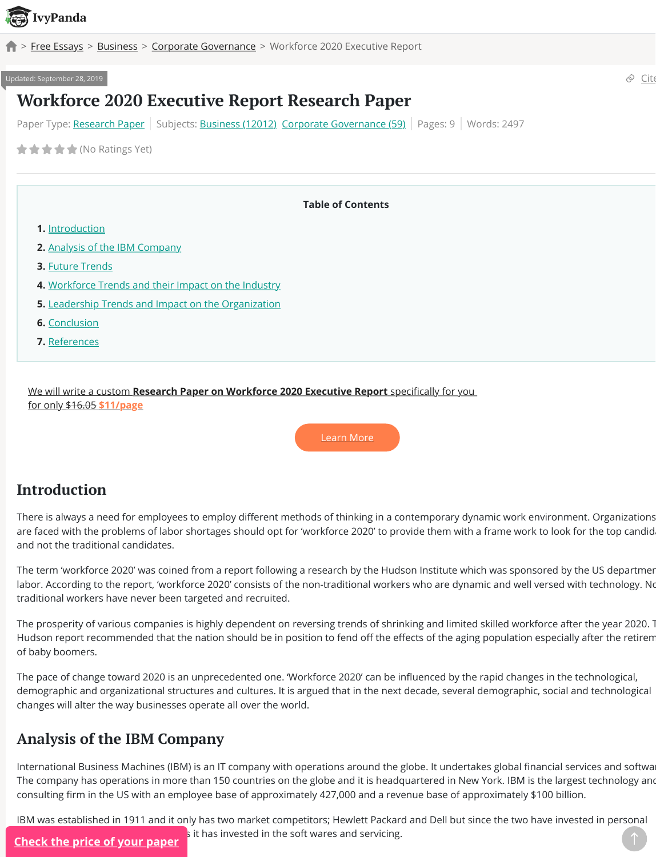- **5.** <u>Leadership Trends and Impact on the Organization</u>
- **6.** [Conclusio](https://ivypanda.com/)n
- **7.** [Referen](https://ivypanda.com/essays/)ce[s](https://ivypanda.com/essays/subject/business/)

We will write a custom **Research Paper on Workforce 2020 Executive Report** specifica for only \$16.05 **\$11/page**



# **Introduction**

There is always a need for employees to employ different methods of thinking in a contem are fac[ed with the p](#page-0-0)roblems of labor shortages should opt for 'workforce 2020' to provide to and n[ot the traditional candidates.](#page-0-1)

The te[rm 'workforce 2](#page-1-0)020' was coined from a report following a research by the Hudson In labor. [According to the report, 'workforce 2020' consists of](#page-3-0) the non-traditional workers who traditi[onal workers have never been targeted and recruite](#page-3-1)d.

The pr[osperity of v](#page-3-2)arious companies is highly dependent on reversing trends of shrinking and limited workforce after the prosperity of shrinking a Hudso[n report rec](#page-4-0)ommended that the nation should be in position to fend off the effects of of baby boomers.

The pace of change toward 2020 is an unprecedented one. 'Workforce 2020' can be influen demographic and organizational structures and cultures. It is argued that in the next decade, sexual and technological and technology demographic changes will alter the way businesses operate all over the world.

# **Analysis of the IBM Company**

<span id="page-0-0"></span>International Business Machines (IBM) is an IT company with operations around the globe. The company has operations in more than 150 countries on the globe and it is headquarte consulting firm in the US with an employee base of approximately 427,000 and a revenue l

<span id="page-0-1"></span>IBM was established in 1911 and it only has two market competitors; Hewlett Packard and s it has invested in the soft wares and servicing. **Check the price of your paper**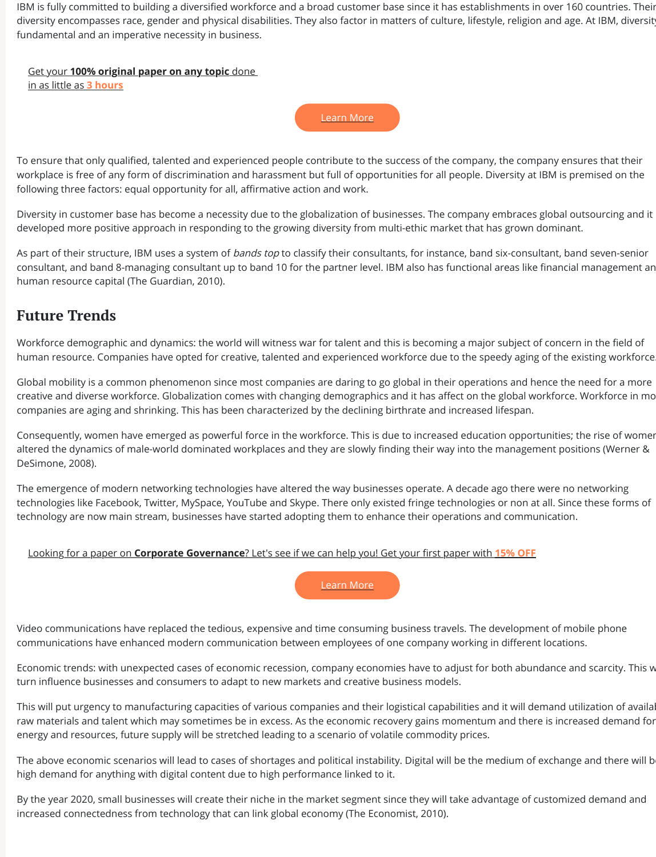# **Future Trends**

Workforce demographic and dynamics: the world will witness war for talent and this is bec human resource. Companies have opted for creative, talented and experienced workforce

Global mobility is a common phenomenon since most companies are daring to go global in creative and diverse workforce. Globalization comes with changing demographics and it has companies are aging and shrinking. This has been characterized by the declining birthrate

Consequently, women have emerged as powerful force in the workforce. This is due to inci altered the dynamics of male-world dominated workplaces and they are slowly finding the DeSimone, 2008).

The emergence of modern networking technologies have altered the way businesses operation. technologies like Facebook, Twitter, MySpace, YouTube and Skype. There only existed fring technology are now main stream, businesses have started adopting them to enhance their

Looking for a paper on **Corporate Governance**? Let's see if we can help you! Get your fi

Learn More

<span id="page-1-0"></span>Video communications have replaced the tedious, expensive and time consuming business communications have enhanced modern communication between employees of one comp

Economic trends: with unexpected cases of economic recession, company economies have turn influence businesses and consumers to adapt to new markets and creative business r

This will put urgency to manufacturing capacities of various companies and their logistical raw materials and talent which may sometimes be in excess. As the economic recovery gai energy and resources, future supply will be stretched leading to a scenario of volatile comr

The above economic scenarios will lead to cases of shortages and political instability. Digital instability of the medium of the medium of the medium of the medium of the medium of the above and the above and the above and high demand for anything with digital content due to high performance linked to it.

By the year 2020, small businesses will create their niche in the market segment since they increased connectedness from technology that can link global economy (The Economist, 2010).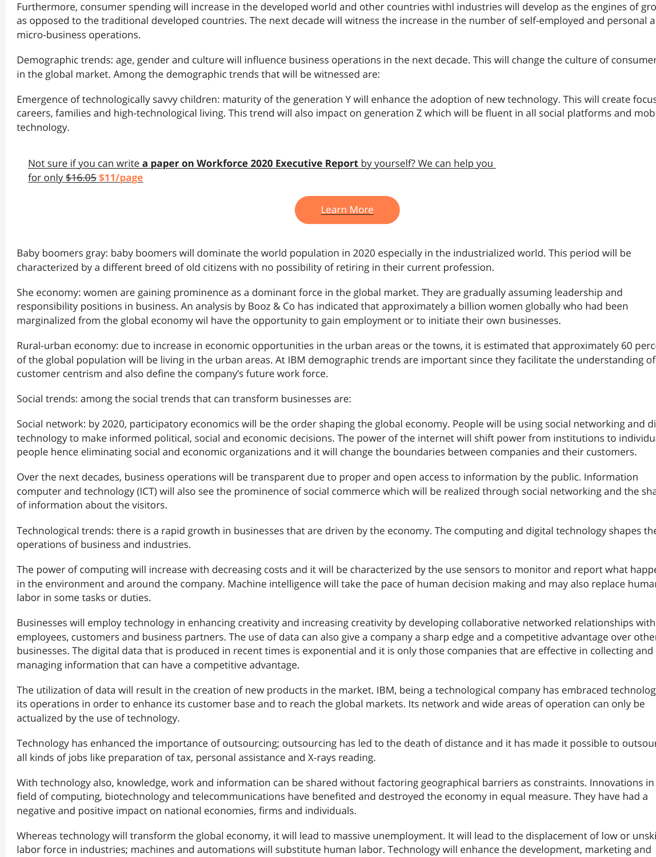responsibility positions in business. An analysis by Booz & Co has indicated that approxima marginalized from the global economy wil have the opportunity to gain employment or to

Rural-urban economy: due to increase in economic opportunities in the urban areas or the of the global population will be living in the urban areas. At IBM demographic trends are in customer centrism and also define the company's future work force.

Social trends: among the social trends that can transform businesses are:

Social network: by 2020, participatory economics will be the order shaping the global economics technology to make informed political, social and economic decisions. The power of the int people hence eliminating social and economic organizations and it will change the bounda

Over the next decades, business operations will be transparent due to proper and open ac computer and technology (ICT) will also see the prominence of social commerce which will of information about the visitors.

Technological trends: there is a rapid growth in businesses that are driven by the economy operations of business and industries.

The power of computing will increase with decreasing costs and it will be characterized by in the environment and around the company. Machine intelligence will take the pace of hu labor in some tasks or duties.

Businesses will employ technology in enhancing creativity and increasing creativity by deve employees, customers and business partners. The use of data can also give a company a s businesses. The digital data that is produced in recent times is exponential and it is only th managing information that can have a competitive advantage.

The utilization of data will result in the creation of new products in the market. IBM, being a its operations in order to enhance its customer base and to reach the global markets. Its network areas of operations areas of  $\alpha$ actualized by the use of technology.

Technology has enhanced the importance of outsourcing; outsourcing has led to the death all kinds of jobs like preparation of tax, personal assistance and X-rays reading.

With technology also, knowledge, work and information can be shared without factoring geographic field of computing, biotechnology and telecommunications have benefited and destroyed the elastro negative and positive impact on national economies, firms and individuals.

Whereas technology will transform the global economy, it will lead to massive unemploym labor force in industries; machines and automations will substitute human labor. Technology will enhance the de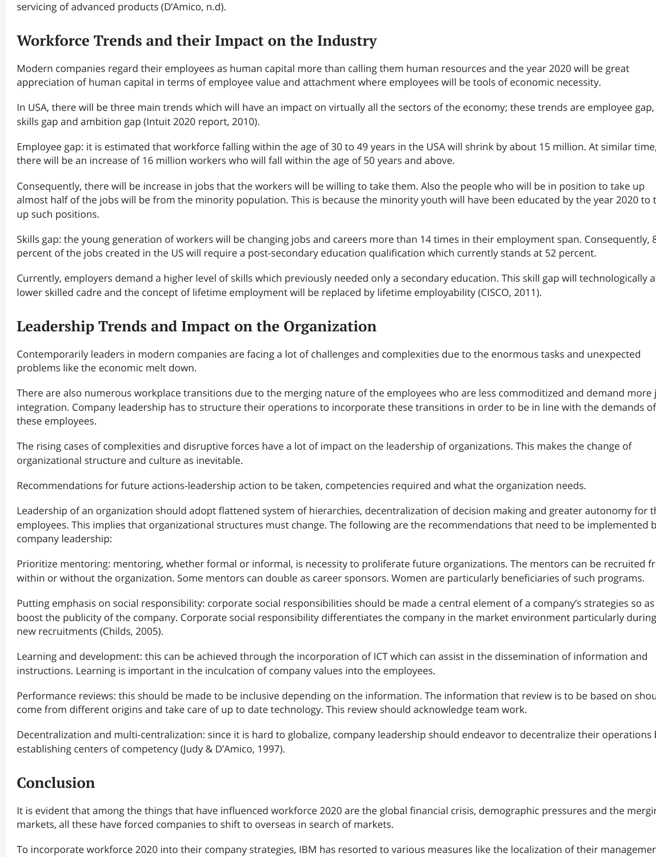servicing of advanced products (D'Amico, n.d).

# <span id="page-3-0"></span>**Workforce Trends and their Impact on the Industry**

Modern companies regard their employees as human capital more than calling them human resources and the year 2020 will be great appreciation of human capital in terms of employee value and attachment where employees will be tools of economic necessity.

In USA, there will be three main trends which will have an impact on virtually all the sectors of the economy; these trends are employee gap, skills gap and ambition gap (Intuit 2020 report, 2010).

Employee gap: it is estimated that workforce falling within the age of 30 to 49 years in the USA will shrink by about 15 million. At similar time, there will be an increase of 16 million workers who will fall within the age of 50 years and above.

Currently, employers demand a higher level of skills which previously needed only a secondary education. This skill gap will technologically a lower skilled cadre and the concept of lifetime employment will be replaced by lifetime employability (CISCO, 2011).

Consequently, there will be increase in jobs that the workers will be willing to take them. Also the people who will be in position to take up almost half of the jobs will be from the minority population. This is because the minority youth will have been educated by the year 2020 to t up such positions.

Skills gap: the young generation of workers will be changing jobs and careers more than 14 times in their employment span. Consequently, 8 percent of the jobs created in the US will require a post-secondary education qualification which currently stands at 52 percent.

There are also numerous workplace transitions due to the merging nature of the employees who are less commoditized and demand more integration. Company leadership has to structure their operations to incorporate these transitions in order to be in line with the demands of these employees.

Leadership of an organization should adopt flattened system of hierarchies, decentralization of decision making and greater autonomy for t employees. This implies that organizational structures must change. The following are the recommendations that need to be implemented b company leadership:

Prioritize mentoring: mentoring, whether formal or informal, is necessity to proliferate future organizations. The mentors can be recruited from within or without the organization. Some mentors can double as career sponsors. Women are particularly beneficiaries of such programs.

Putting emphasis on social responsibility: corporate social responsibilities should be made a central element of a company's strategies so as boost the publicity of the company. Corporate social responsibility differentiates the company in the market environment particularly during

# <span id="page-3-1"></span>**Leadership Trends and Impact on the Organization**

Contemporarily leaders in modern companies are facing a lot of challenges and complexities due to the enormous tasks and unexpected problems like the economic melt down.

It is evident that among the things that have influenced workforce 2020 are the global financial crisis, demographic pressures and the merging markets, all these have forced companies to shift to overseas in search of markets.

To incorporate workforce 2020 into their company strategies, IBM has resorted to various measures like the localization of their managemer

The rising cases of complexities and disruptive forces have a lot of impact on the leadership of organizations. This makes the change of organizational structure and culture as inevitable.

Recommendations for future actions-leadership action to be taken, competencies required and what the organization needs.

## new recruitments (Childs, 2005).

Learning and development: this can be achieved through the incorporation of ICT which can assist in the dissemination of information and instructions. Learning is important in the inculcation of company values into the employees.

Performance reviews: this should be made to be inclusive depending on the information. The information that review is to be based on shour come from different origins and take care of up to date technology. This review should acknowledge team work.

Decentralization and multi-centralization: since it is hard to globalize, company leadership should endeavor to decentralize their operations by establishing centers of competency (Judy & D'Amico, 1997).

## <span id="page-3-2"></span>**Conclusion**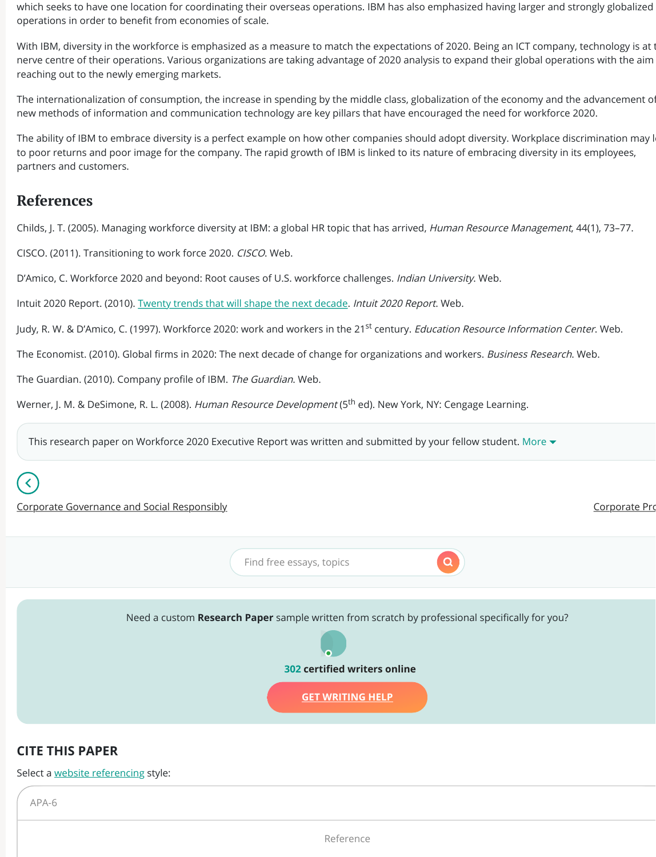Intuit 2020 Report. (2010). <u>Twenty trends that will shape the next decade</u>. *Intuit 2020 Repo* Judy, R. W. & D'Amico, C. (1997). Workforce 2020: work and workers in the 21<sup>st</sup> century. *Edt* The Economist. (2010). Global firms in 2020: The next decade of change for organizations and workers. Business The Guardian. (2010). Company profile of IBM. The Guardian. Web.

Werner, J. M. & DeSimone, R. L. (2008). *Human Resource Development* (5<sup>th</sup> ed). New York, l

This research paper on Workforce 2020 Executive Report was written and submitted by

<span id="page-4-0"></span>Corporate Governance and Social Responsibly

Find free essays, topics

Need a custom **Research Paper** sample written from scratch by professional species



#### **302 certi!ed writers online**

**GET WRITING HELP**

## **CITE THIS PAPER**

[Select a website referencing style:](https://ivypanda.com/essays/corporate-governance-and-social-responsibly-report/)

APA-6

Reference